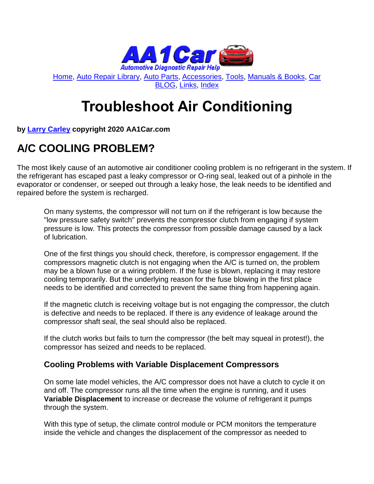

[Home,](http://www.aa1car.com/) [Auto Repair Library,](http://www.aa1car.com/library.htm) [Auto Parts,](http://www.aa1car.com/links_parts.htm) [Accessories,](http://www.aa1car.com/links_accessories.htm) [Tools,](http://www.aa1car.com/links_tools.htm) [Manuals & Books,](http://www.aa1car.com/links_books.htm) [Car](http://www.aa1car.com/blog/blog.htm)  [BLOG,](http://www.aa1car.com/blog/blog.htm) [Links,](http://www.aa1car.com/links.htm) [Index](http://www.aa1car.com/index_alphabetical.htm)

# **Troubleshoot Air Conditioning**

**by [Larry Carley](https://www.aa1car.com/larrypage/larrycarley_photos.htm) copyright 2020 AA1Car.com**

# **A/C COOLING PROBLEM?**

The most likely cause of an automotive air conditioner cooling problem is no refrigerant in the system. If the refrigerant has escaped past a leaky compressor or O-ring seal, leaked out of a pinhole in the evaporator or condenser, or seeped out through a leaky hose, the leak needs to be identified and repaired before the system is recharged.

On many systems, the compressor will not turn on if the refrigerant is low because the "low pressure safety switch" prevents the compressor clutch from engaging if system pressure is low. This protects the compressor from possible damage caused by a lack of lubrication.

One of the first things you should check, therefore, is compressor engagement. If the compressors magnetic clutch is not engaging when the A/C is turned on, the problem may be a blown fuse or a wiring problem. If the fuse is blown, replacing it may restore cooling temporarily. But the underlying reason for the fuse blowing in the first place needs to be identified and corrected to prevent the same thing from happening again.

If the magnetic clutch is receiving voltage but is not engaging the compressor, the clutch is defective and needs to be replaced. If there is any evidence of leakage around the compressor shaft seal, the seal should also be replaced.

If the clutch works but fails to turn the compressor (the belt may squeal in protest!), the compressor has seized and needs to be replaced.

#### **Cooling Problems with Variable Displacement Compressors**

On some late model vehicles, the A/C compressor does not have a clutch to cycle it on and off. The compressor runs all the time when the engine is running, and it uses **Variable Displacement** to increase or decrease the volume of refrigerant it pumps through the system.

With this type of setup, the climate control module or PCM monitors the temperature inside the vehicle and changes the displacement of the compressor as needed to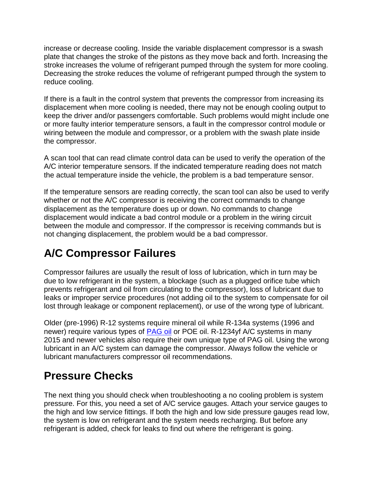increase or decrease cooling. Inside the variable displacement compressor is a swash plate that changes the stroke of the pistons as they move back and forth. Increasing the stroke increases the volume of refrigerant pumped through the system for more cooling. Decreasing the stroke reduces the volume of refrigerant pumped through the system to reduce cooling.

If there is a fault in the control system that prevents the compressor from increasing its displacement when more cooling is needed, there may not be enough cooling output to keep the driver and/or passengers comfortable. Such problems would might include one or more faulty interior temperature sensors, a fault in the compressor control module or wiring between the module and compressor, or a problem with the swash plate inside the compressor.

A scan tool that can read climate control data can be used to verify the operation of the A/C interior temperature sensors. If the indicated temperature reading does not match the actual temperature inside the vehicle, the problem is a bad temperature sensor.

If the temperature sensors are reading correctly, the scan tool can also be used to verify whether or not the A/C compressor is receiving the correct commands to change displacement as the temperature does up or down. No commands to change displacement would indicate a bad control module or a problem in the wiring circuit between the module and compressor. If the compressor is receiving commands but is not changing displacement, the problem would be a bad compressor.

#### **A/C Compressor Failures**

Compressor failures are usually the result of loss of lubrication, which in turn may be due to low refrigerant in the system, a blockage (such as a plugged orifice tube which prevents refrigerant and oil from circulating to the compressor), loss of lubricant due to leaks or improper service procedures (not adding oil to the system to compensate for oil lost through leakage or component replacement), or use of the wrong type of lubricant.

Older (pre-1996) R-12 systems require mineral oil while R-134a systems (1996 and newer) require various types of [PAG oil](https://www.aa1car.com/library/pagoil.htm) or POE oil. R-1234yf A/C systems in many 2015 and newer vehicles also require their own unique type of PAG oil. Using the wrong lubricant in an A/C system can damage the compressor. Always follow the vehicle or lubricant manufacturers compressor oil recommendations.

#### **Pressure Checks**

The next thing you should check when troubleshooting a no cooling problem is system pressure. For this, you need a set of A/C service gauges. Attach your service gauges to the high and low service fittings. If both the high and low side pressure gauges read low, the system is low on refrigerant and the system needs recharging. But before any refrigerant is added, check for leaks to find out where the refrigerant is going.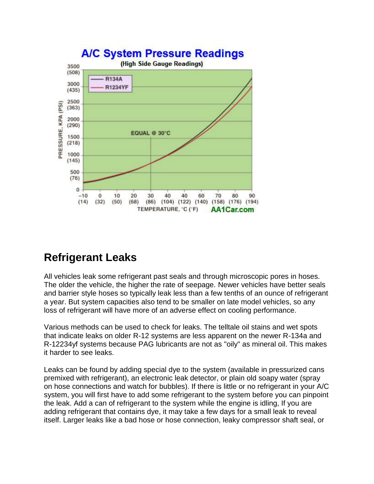

#### **Refrigerant Leaks**

All vehicles leak some refrigerant past seals and through microscopic pores in hoses. The older the vehicle, the higher the rate of seepage. Newer vehicles have better seals and barrier style hoses so typically leak less than a few tenths of an ounce of refrigerant a year. But system capacities also tend to be smaller on late model vehicles, so any loss of refrigerant will have more of an adverse effect on cooling performance.

Various methods can be used to check for leaks. The telltale oil stains and wet spots that indicate leaks on older R-12 systems are less apparent on the newer R-134a and R-12234yf systems because PAG lubricants are not as "oily" as mineral oil. This makes it harder to see leaks.

Leaks can be found by adding special dye to the system (available in pressurized cans premixed with refrigerant), an electronic leak detector, or plain old soapy water (spray on hose connections and watch for bubbles). If there is little or no refrigerant in your A/C system, you will first have to add some refrigerant to the system before you can pinpoint the leak. Add a can of refrigerant to the system while the engine is idling, If you are adding refrigerant that contains dye, it may take a few days for a small leak to reveal itself. Larger leaks like a bad hose or hose connection, leaky compressor shaft seal, or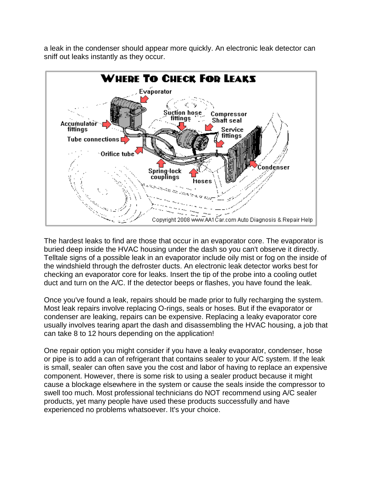a leak in the condenser should appear more quickly. An electronic leak detector can sniff out leaks instantly as they occur.



The hardest leaks to find are those that occur in an evaporator core. The evaporator is buried deep inside the HVAC housing under the dash so you can't observe it directly. Telltale signs of a possible leak in an evaporator include oily mist or fog on the inside of the windshield through the defroster ducts. An electronic leak detector works best for checking an evaporator core for leaks. Insert the tip of the probe into a cooling outlet duct and turn on the A/C. If the detector beeps or flashes, you have found the leak.

Once you've found a leak, repairs should be made prior to fully recharging the system. Most leak repairs involve replacing O-rings, seals or hoses. But if the evaporator or condenser are leaking, repairs can be expensive. Replacing a leaky evaporator core usually involves tearing apart the dash and disassembling the HVAC housing, a job that can take 8 to 12 hours depending on the application!

One repair option you might consider if you have a leaky evaporator, condenser, hose or pipe is to add a can of refrigerant that contains sealer to your A/C system. If the leak is small, sealer can often save you the cost and labor of having to replace an expensive component. However, there is some risk to using a sealer product because it might cause a blockage elsewhere in the system or cause the seals inside the compressor to swell too much. Most professional technicians do NOT recommend using A/C sealer products, yet many people have used these products successfully and have experienced no problems whatsoever. It's your choice.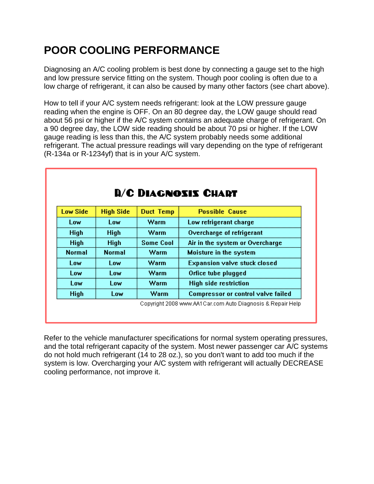# **POOR COOLING PERFORMANCE**

Diagnosing an A/C cooling problem is best done by connecting a gauge set to the high and low pressure service fitting on the system. Though poor cooling is often due to a low charge of refrigerant, it can also be caused by many other factors (see chart above).

How to tell if your A/C system needs refrigerant: look at the LOW pressure gauge reading when the engine is OFF. On an 80 degree day, the LOW gauge should read about 56 psi or higher if the A/C system contains an adequate charge of refrigerant. On a 90 degree day, the LOW side reading should be about 70 psi or higher. If the LOW gauge reading is less than this, the A/C system probably needs some additional refrigerant. The actual pressure readings will vary depending on the type of refrigerant (R-134a or R-1234yf) that is in your A/C system.

| <b>D/C DIAGNOSIS CHART</b> |                  |                  |                                           |
|----------------------------|------------------|------------------|-------------------------------------------|
| Low Side                   | <b>High Side</b> | <b>Duct Temp</b> | <b>Possible Cause</b>                     |
| Low                        | Low              | Warm             | Low refrigerant charge                    |
| <b>High</b>                | <b>High</b>      | Warm             | Overcharge of refrigerant                 |
| <b>High</b>                | <b>High</b>      | <b>Some Cool</b> | Air in the system or Overcharge           |
| <b>Normal</b>              | <b>Normal</b>    | Warm             | Moisture in the system                    |
| Low                        | Low              | Warm             | <b>Expansion valve stuck closed</b>       |
| Low                        | Low              | Warm             | Orfice tube plugged                       |
| Low                        | Low              | Warm             | <b>High side restriction</b>              |
| <b>High</b>                | Low              | Warm             | <b>Compressor or control valve failed</b> |

Refer to the vehicle manufacturer specifications for normal system operating pressures, and the total refrigerant capacity of the system. Most newer passenger car A/C systems do not hold much refrigerant (14 to 28 oz.), so you don't want to add too much if the system is low. Overcharging your A/C system with refrigerant will actually DECREASE cooling performance, not improve it.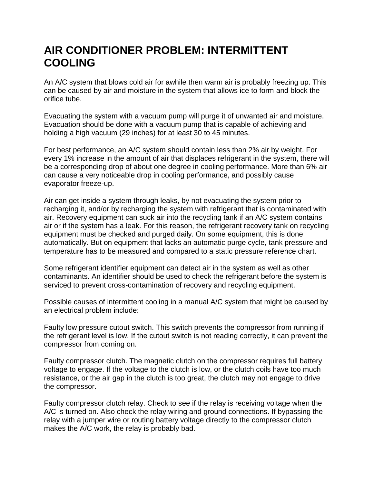#### **AIR CONDITIONER PROBLEM: INTERMITTENT COOLING**

An A/C system that blows cold air for awhile then warm air is probably freezing up. This can be caused by air and moisture in the system that allows ice to form and block the orifice tube.

Evacuating the system with a vacuum pump will purge it of unwanted air and moisture. Evacuation should be done with a vacuum pump that is capable of achieving and holding a high vacuum (29 inches) for at least 30 to 45 minutes.

For best performance, an A/C system should contain less than 2% air by weight. For every 1% increase in the amount of air that displaces refrigerant in the system, there will be a corresponding drop of about one degree in cooling performance. More than 6% air can cause a very noticeable drop in cooling performance, and possibly cause evaporator freeze-up.

Air can get inside a system through leaks, by not evacuating the system prior to recharging it, and/or by recharging the system with refrigerant that is contaminated with air. Recovery equipment can suck air into the recycling tank if an A/C system contains air or if the system has a leak. For this reason, the refrigerant recovery tank on recycling equipment must be checked and purged daily. On some equipment, this is done automatically. But on equipment that lacks an automatic purge cycle, tank pressure and temperature has to be measured and compared to a static pressure reference chart.

Some refrigerant identifier equipment can detect air in the system as well as other contaminants. An identifier should be used to check the refrigerant before the system is serviced to prevent cross-contamination of recovery and recycling equipment.

Possible causes of intermittent cooling in a manual A/C system that might be caused by an electrical problem include:

Faulty low pressure cutout switch. This switch prevents the compressor from running if the refrigerant level is low. If the cutout switch is not reading correctly, it can prevent the compressor from coming on.

Faulty compressor clutch. The magnetic clutch on the compressor requires full battery voltage to engage. If the voltage to the clutch is low, or the clutch coils have too much resistance, or the air gap in the clutch is too great, the clutch may not engage to drive the compressor.

Faulty compressor clutch relay. Check to see if the relay is receiving voltage when the A/C is turned on. Also check the relay wiring and ground connections. If bypassing the relay with a jumper wire or routing battery voltage directly to the compressor clutch makes the A/C work, the relay is probably bad.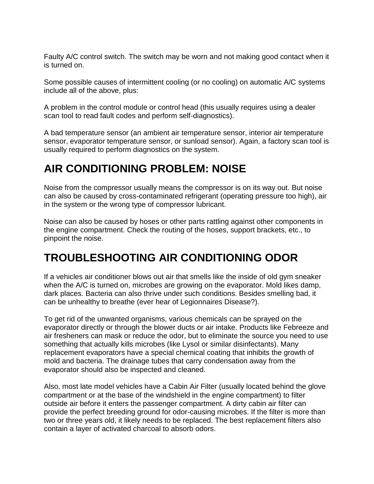Faulty A/C control switch. The switch may be worn and not making good contact when it is turned on.

Some possible causes of intermittent cooling (or no cooling) on automatic A/C systems include all of the above, plus:

A problem in the control module or control head (this usually requires using a dealer scan tool to read fault codes and perform self-diagnostics).

A bad temperature sensor (an ambient air temperature sensor, interior air temperature sensor, evaporator temperature sensor, or sunload sensor). Again, a factory scan tool is usually required to perform diagnostics on the system.

# **AIR CONDITIONING PROBLEM: NOISE**

Noise from the compressor usually means the compressor is on its way out. But noise can also be caused by cross-contaminated refrigerant (operating pressure too high), air in the system or the wrong type of compressor lubricant.

Noise can also be caused by hoses or other parts rattling against other components in the engine compartment. Check the routing of the hoses, support brackets, etc., to pinpoint the noise.

# **TROUBLESHOOTING AIR CONDITIONING ODOR**

If a vehicles air conditioner blows out air that smells like the inside of old gym sneaker when the A/C is turned on, microbes are growing on the evaporator. Mold likes damp, dark places. Bacteria can also thrive under such conditions. Besides smelling bad, it can be unhealthy to breathe (ever hear of Legionnaires Disease?).

To get rid of the unwanted organisms, various chemicals can be sprayed on the evaporator directly or through the blower ducts or air intake. Products like Febreeze and air fresheners can mask or reduce the odor, but to eliminate the source you need to use something that actually kills microbes (like Lysol or similar disinfectants). Many replacement evaporators have a special chemical coating that inhibits the growth of mold and bacteria. The drainage tubes that carry condensation away from the evaporator should also be inspected and cleaned.

Also, most late model vehicles have a Cabin Air Filter (usually located behind the glove compartment or at the base of the windshield in the engine compartment) to filter outside air before it enters the passenger compartment. A dirty cabin air filter can provide the perfect breeding ground for odor-causing microbes. If the filter is more than two or three years old, it likely needs to be replaced. The best replacement filters also contain a layer of activated charcoal to absorb odors.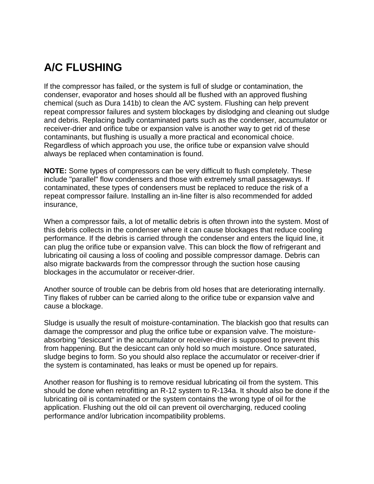# **A/C FLUSHING**

If the compressor has failed, or the system is full of sludge or contamination, the condenser, evaporator and hoses should all be flushed with an approved flushing chemical (such as Dura 141b) to clean the A/C system. Flushing can help prevent repeat compressor failures and system blockages by dislodging and cleaning out sludge and debris. Replacing badly contaminated parts such as the condenser, accumulator or receiver-drier and orifice tube or expansion valve is another way to get rid of these contaminants, but flushing is usually a more practical and economical choice. Regardless of which approach you use, the orifice tube or expansion valve should always be replaced when contamination is found.

**NOTE:** Some types of compressors can be very difficult to flush completely. These include "parallel" flow condensers and those with extremely small passageways. If contaminated, these types of condensers must be replaced to reduce the risk of a repeat compressor failure. Installing an in-line filter is also recommended for added insurance,

When a compressor fails, a lot of metallic debris is often thrown into the system. Most of this debris collects in the condenser where it can cause blockages that reduce cooling performance. If the debris is carried through the condenser and enters the liquid line, it can plug the orifice tube or expansion valve. This can block the flow of refrigerant and lubricating oil causing a loss of cooling and possible compressor damage. Debris can also migrate backwards from the compressor through the suction hose causing blockages in the accumulator or receiver-drier.

Another source of trouble can be debris from old hoses that are deteriorating internally. Tiny flakes of rubber can be carried along to the orifice tube or expansion valve and cause a blockage.

Sludge is usually the result of moisture-contamination. The blackish goo that results can damage the compressor and plug the orifice tube or expansion valve. The moistureabsorbing "desiccant" in the accumulator or receiver-drier is supposed to prevent this from happening. But the desiccant can only hold so much moisture. Once saturated, sludge begins to form. So you should also replace the accumulator or receiver-drier if the system is contaminated, has leaks or must be opened up for repairs.

Another reason for flushing is to remove residual lubricating oil from the system. This should be done when retrofitting an R-12 system to R-134a. It should also be done if the lubricating oil is contaminated or the system contains the wrong type of oil for the application. Flushing out the old oil can prevent oil overcharging, reduced cooling performance and/or lubrication incompatibility problems.